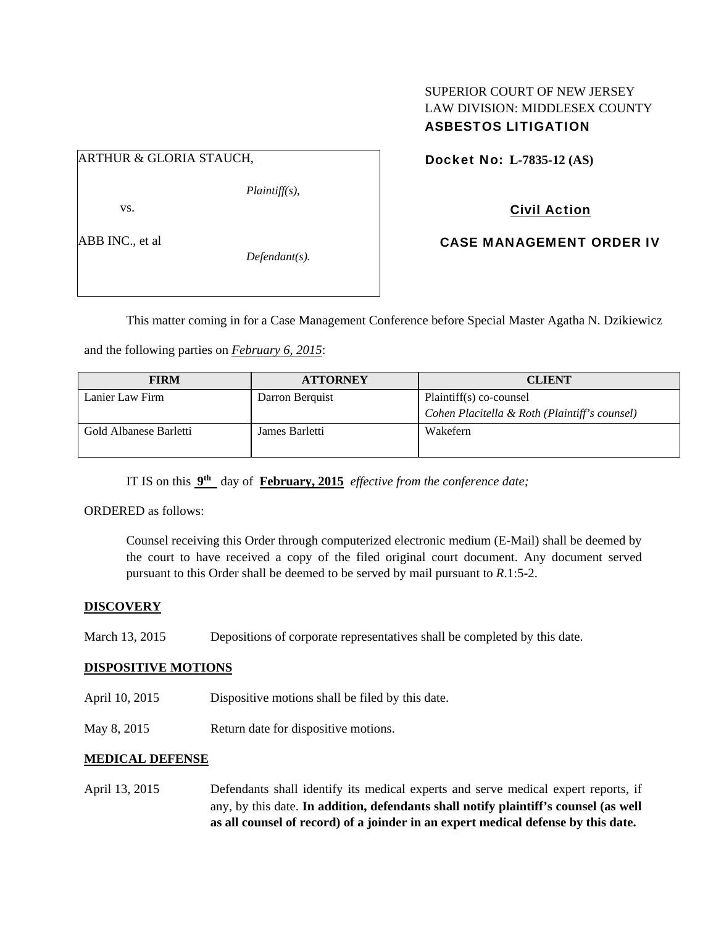## SUPERIOR COURT OF NEW JERSEY LAW DIVISION: MIDDLESEX COUNTY ASBESTOS LITIGATION

## ARTHUR & GLORIA STAUCH,

*Plaintiff(s),* 

vs.

ABB INC., et al

*Defendant(s).* 

Docket No: **L-7835-12 (AS)** 

# Civil Action

CASE MANAGEMENT ORDER IV

This matter coming in for a Case Management Conference before Special Master Agatha N. Dzikiewicz

and the following parties on *February 6, 2015*:

| <b>FIRM</b>            | <b>ATTORNEY</b> | <b>CLIENT</b>                                 |
|------------------------|-----------------|-----------------------------------------------|
| Lanier Law Firm        | Darron Berquist | Plaintiff(s) co-counsel                       |
|                        |                 | Cohen Placitella & Roth (Plaintiff's counsel) |
| Gold Albanese Barletti | James Barletti  | Wakefern                                      |

IT IS on this **9th** day of **February, 2015** *effective from the conference date;*

ORDERED as follows:

Counsel receiving this Order through computerized electronic medium (E-Mail) shall be deemed by the court to have received a copy of the filed original court document. Any document served pursuant to this Order shall be deemed to be served by mail pursuant to *R*.1:5-2.

### **DISCOVERY**

March 13, 2015 Depositions of corporate representatives shall be completed by this date.

### **DISPOSITIVE MOTIONS**

- April 10, 2015 Dispositive motions shall be filed by this date.
- May 8, 2015 Return date for dispositive motions.

### **MEDICAL DEFENSE**

April 13, 2015 Defendants shall identify its medical experts and serve medical expert reports, if any, by this date. **In addition, defendants shall notify plaintiff's counsel (as well as all counsel of record) of a joinder in an expert medical defense by this date.**